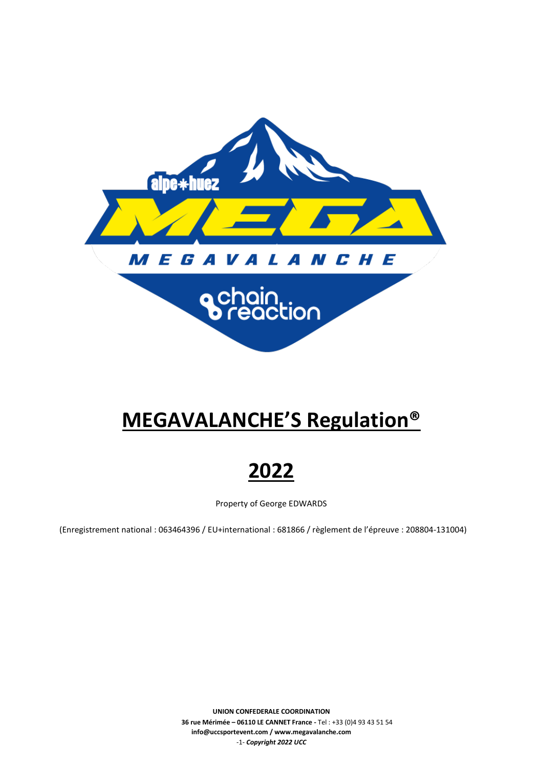

# **MEGAVALANCHE'S Regulation®**

**2022**

Property of George EDWARDS

(Enregistrement national : 063464396 / EU+international : 681866 / règlement de l'épreuve : 208804-131004)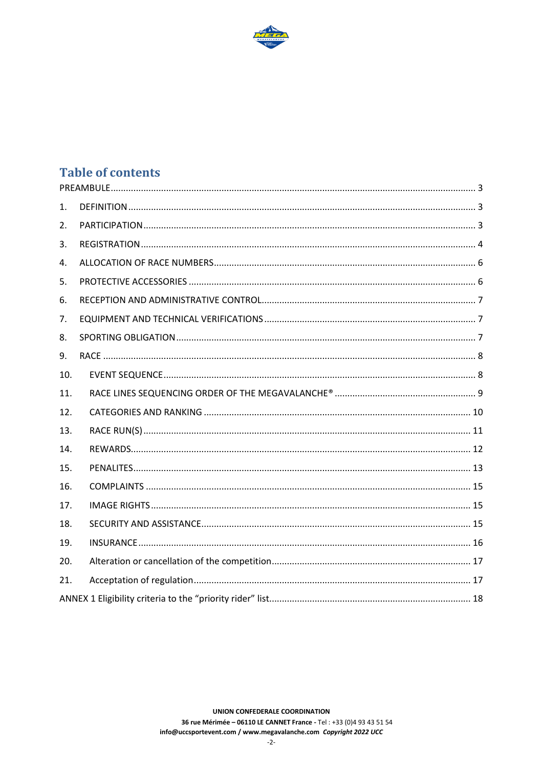

# **Table of contents**

| 1.  |  |  |  |  |
|-----|--|--|--|--|
| 2.  |  |  |  |  |
| 3.  |  |  |  |  |
| 4.  |  |  |  |  |
| 5.  |  |  |  |  |
| 6.  |  |  |  |  |
| 7.  |  |  |  |  |
| 8.  |  |  |  |  |
| 9.  |  |  |  |  |
| 10. |  |  |  |  |
| 11. |  |  |  |  |
| 12. |  |  |  |  |
| 13. |  |  |  |  |
| 14. |  |  |  |  |
| 15. |  |  |  |  |
| 16. |  |  |  |  |
| 17. |  |  |  |  |
| 18. |  |  |  |  |
| 19. |  |  |  |  |
| 20. |  |  |  |  |
| 21. |  |  |  |  |
|     |  |  |  |  |

UNION CONFEDERALE COORDINATION 36 rue Mérimée - 06110 LE CANNET France - Tel : +33 (0)4 93 43 51 54 info@uccsportevent.com / www.megavalanche.com Copyright 2022 UCC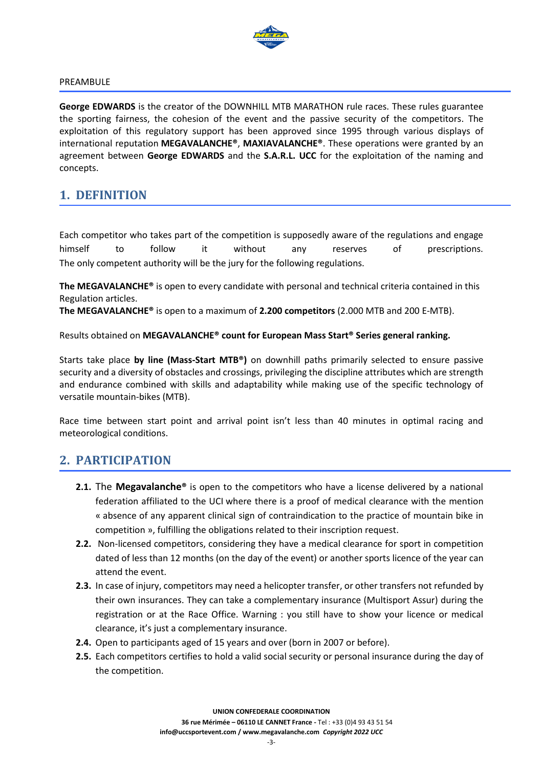

#### <span id="page-2-0"></span>PREAMBULE

**George EDWARDS** is the creator of the DOWNHILL MTB MARATHON rule races. These rules guarantee the sporting fairness, the cohesion of the event and the passive security of the competitors. The exploitation of this regulatory support has been approved since 1995 through various displays of international reputation **MEGAVALANCHE®**, **MAXIAVALANCHE®**. These operations were granted by an agreement between **George EDWARDS** and the **S.A.R.L. UCC** for the exploitation of the naming and concepts.

### <span id="page-2-1"></span>**1. DEFINITION**

Each competitor who takes part of the competition is supposedly aware of the regulations and engage himself to follow it without any reserves of prescriptions. The only competent authority will be the jury for the following regulations.

**The MEGAVALANCHE®** is open to every candidate with personal and technical criteria contained in this Regulation articles.

**The MEGAVALANCHE®** is open to a maximum of **2.200 competitors** (2.000 MTB and 200 E-MTB).

Results obtained on **MEGAVALANCHE® count for European Mass Start® Series general ranking.**

Starts take place **by line (Mass-Start MTB®)** on downhill paths primarily selected to ensure passive security and a diversity of obstacles and crossings, privileging the discipline attributes which are strength and endurance combined with skills and adaptability while making use of the specific technology of versatile mountain-bikes (MTB).

Race time between start point and arrival point isn't less than 40 minutes in optimal racing and meteorological conditions.

### <span id="page-2-2"></span>**2. PARTICIPATION**

- **2.1.** The **Megavalanche®** is open to the competitors who have a license delivered by a national federation affiliated to the UCI where there is a proof of medical clearance with the mention « absence of any apparent clinical sign of contraindication to the practice of mountain bike in competition », fulfilling the obligations related to their inscription request.
- **2.2.** Non-licensed competitors, considering they have a medical clearance for sport in competition dated of less than 12 months (on the day of the event) or another sports licence of the year can attend the event.
- **2.3.** In case of injury, competitors may need a helicopter transfer, or other transfers not refunded by their own insurances. They can take a complementary insurance (Multisport Assur) during the registration or at the Race Office. Warning : you still have to show your licence or medical clearance, it's just a complementary insurance.
- **2.4.** Open to participants aged of 15 years and over (born in 2007 or before).
- **2.5.** Each competitors certifies to hold a valid social security or personal insurance during the day of the competition.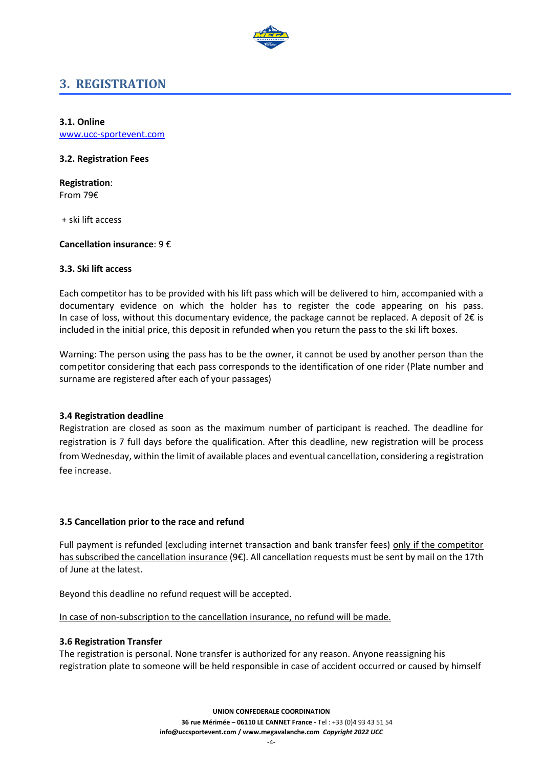

# <span id="page-3-0"></span>**3. REGISTRATION**

**3.1. Online**

www.ucc-sportevent.com

#### **3.2. Registration Fees**

**Registration**: From 79€

+ ski lift access

**Cancellation insurance**: 9 €

#### **3.3. Ski lift access**

Each competitor has to be provided with his lift pass which will be delivered to him, accompanied with a documentary evidence on which the holder has to register the code appearing on his pass. In case of loss, without this documentary evidence, the package cannot be replaced. A deposit of  $2 \epsilon$  is included in the initial price, this deposit in refunded when you return the pass to the ski lift boxes.

Warning: The person using the pass has to be the owner, it cannot be used by another person than the competitor considering that each pass corresponds to the identification of one rider (Plate number and surname are registered after each of your passages)

#### **3.4 Registration deadline**

Registration are closed as soon as the maximum number of participant is reached. The deadline for registration is 7 full days before the qualification. After this deadline, new registration will be process from Wednesday, within the limit of available places and eventual cancellation, considering a registration fee increase.

#### **3.5 Cancellation prior to the race and refund**

Full payment is refunded (excluding internet transaction and bank transfer fees) only if the competitor has subscribed the cancellation insurance (9€). All cancellation requests must be sent by mail on the 17th of June at the latest.

Beyond this deadline no refund request will be accepted.

In case of non-subscription to the cancellation insurance, no refund will be made.

#### **3.6 Registration Transfer**

The registration is personal. None transfer is authorized for any reason. Anyone reassigning his registration plate to someone will be held responsible in case of accident occurred or caused by himself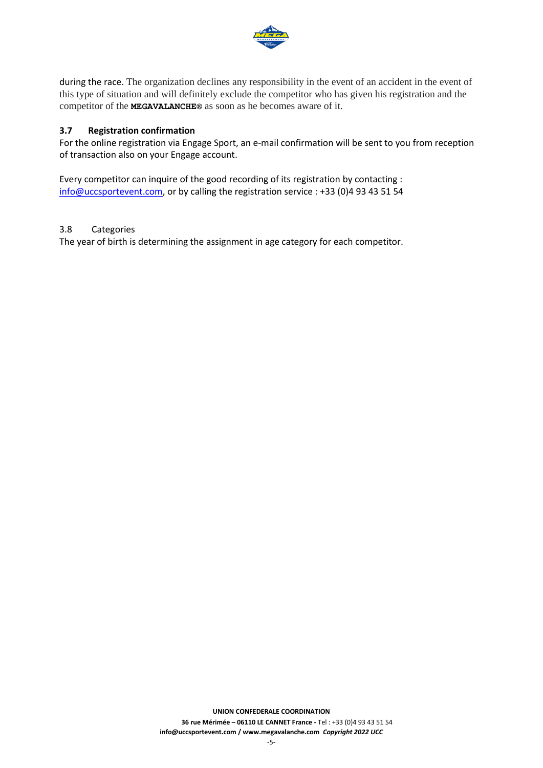

during the race. The organization declines any responsibility in the event of an accident in the event of this type of situation and will definitely exclude the competitor who has given his registration and the competitor of the **MEGAVALANCHE®** as soon as he becomes aware of it.

#### **3.7 Registration confirmation**

For the online registration via Engage Sport, an e-mail confirmation will be sent to you from reception of transaction also on your Engage account.

Every competitor can inquire of the good recording of its registration by contacting : [info@uccsportevent.com,](mailto:info@uccsportevent.com) or by calling the registration service : +33 (0)4 93 43 51 54

#### 3.8 Categories

The year of birth is determining the assignment in age category for each competitor.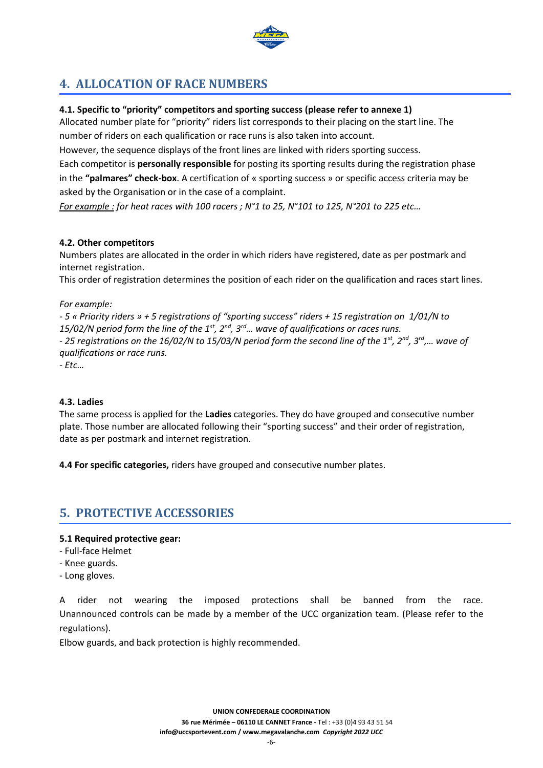

# <span id="page-5-0"></span>**4. ALLOCATION OF RACE NUMBERS**

#### **4.1. Specific to "priority" competitors and sporting success (please refer to annexe 1)**

Allocated number plate for "priority" riders list corresponds to their placing on the start line. The number of riders on each qualification or race runs is also taken into account.

However, the sequence displays of the front lines are linked with riders sporting success.

Each competitor is **personally responsible** for posting its sporting results during the registration phase in the **"palmares" check-box**. A certification of « sporting success » or specific access criteria may be asked by the Organisation or in the case of a complaint.

*For example : for heat races with 100 racers ; N°1 to 25, N°101 to 125, N°201 to 225 etc…*

#### **4.2. Other competitors**

Numbers plates are allocated in the order in which riders have registered, date as per postmark and internet registration.

This order of registration determines the position of each rider on the qualification and races start lines.

#### *For example:*

*- 5 « Priority riders » + 5 registrations of "sporting success" riders + 15 registration on 1/01/N to 15/02/N period form the line of the 1st, 2nd, 3rd… wave of qualifications or races runs. - 25 registrations on the 16/02/N to 15/03/N period form the second line of the 1st, 2nd , 3 rd,… wave of qualifications or race runs.* 

*- Etc…*

#### **4.3. Ladies**

The same process is applied for the **Ladies** categories. They do have grouped and consecutive number plate. Those number are allocated following their "sporting success" and their order of registration, date as per postmark and internet registration.

**4.4 For specific categories,** riders have grouped and consecutive number plates.

# <span id="page-5-1"></span>**5. PROTECTIVE ACCESSORIES**

#### **5.1 Required protective gear:**

- Full-face Helmet
- Knee guards.
- Long gloves.

A rider not wearing the imposed protections shall be banned from the race. Unannounced controls can be made by a member of the UCC organization team. (Please refer to the regulations).

Elbow guards, and back protection is highly recommended.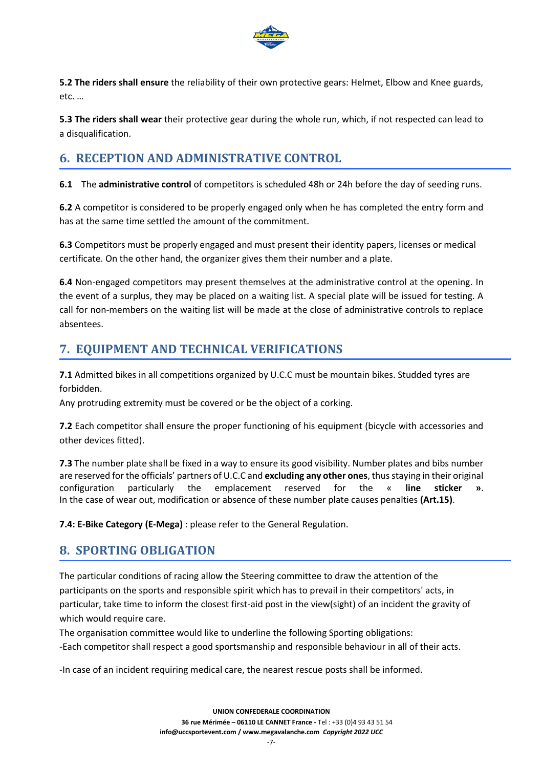

**5.2 The riders shall ensure** the reliability of their own protective gears: Helmet, Elbow and Knee guards, etc. …

**5.3 The riders shall wear** their protective gear during the whole run, which, if not respected can lead to a disqualification.

# <span id="page-6-0"></span>**6. RECEPTION AND ADMINISTRATIVE CONTROL**

**6.1** The **administrative control** of competitors is scheduled 48h or 24h before the day of seeding runs.

**6.2** A competitor is considered to be properly engaged only when he has completed the entry form and has at the same time settled the amount of the commitment.

**6.3** Competitors must be properly engaged and must present their identity papers, licenses or medical certificate. On the other hand, the organizer gives them their number and a plate.

**6.4** Non-engaged competitors may present themselves at the administrative control at the opening. In the event of a surplus, they may be placed on a waiting list. A special plate will be issued for testing. A call for non-members on the waiting list will be made at the close of administrative controls to replace absentees.

# <span id="page-6-1"></span>**7. EQUIPMENT AND TECHNICAL VERIFICATIONS**

**7.1** Admitted bikes in all competitions organized by U.C.C must be mountain bikes. Studded tyres are forbidden.

Any protruding extremity must be covered or be the object of a corking.

**7.2** Each competitor shall ensure the proper functioning of his equipment (bicycle with accessories and other devices fitted).

**7.3** The number plate shall be fixed in a way to ensure its good visibility. Number plates and bibs number are reserved for the officials' partners of U.C.C and **excluding any other ones**, thus staying in their original configuration particularly the emplacement reserved for the « **line sticker »**. In the case of wear out, modification or absence of these number plate causes penalties **(Art.15)**.

**7.4: E-Bike Category (E-Mega)** : please refer to the General Regulation.

# <span id="page-6-2"></span>**8. SPORTING OBLIGATION**

The particular conditions of racing allow the Steering committee to draw the attention of the participants on the sports and responsible spirit which has to prevail in their competitors' acts, in particular, take time to inform the closest first-aid post in the view(sight) of an incident the gravity of which would require care.

The organisation committee would like to underline the following Sporting obligations: -Each competitor shall respect a good sportsmanship and responsible behaviour in all of their acts.

-In case of an incident requiring medical care, the nearest rescue posts shall be informed.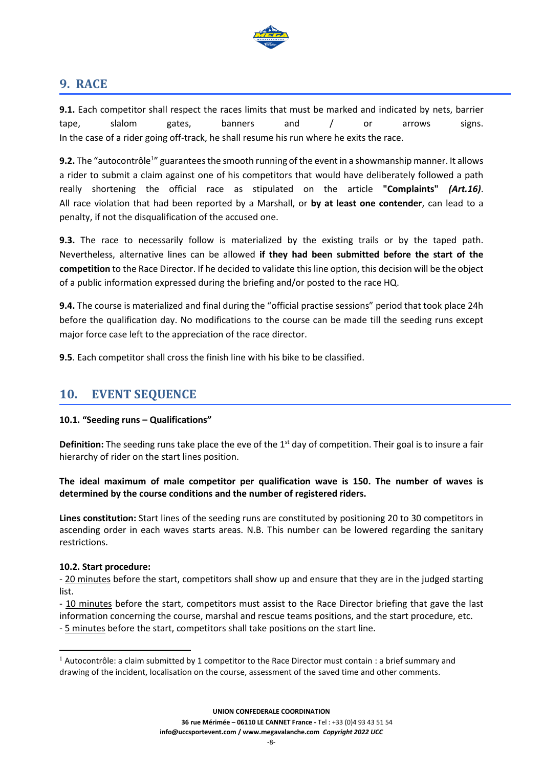

# <span id="page-7-0"></span>**9. RACE**

**9.1.** Each competitor shall respect the races limits that must be marked and indicated by nets, barrier tape, slalom gates, banners and / or arrows signs. In the case of a rider going off-track, he shall resume his run where he exits the race.

9.2. The "autocontrôle<sup>1</sup>" guarantees the smooth running of the event in a showmanship manner. It allows a rider to submit a claim against one of his competitors that would have deliberately followed a path really shortening the official race as stipulated on the article **"Complaints"** *(Art.16)*. All race violation that had been reported by a Marshall, or **by at least one contender**, can lead to a penalty, if not the disqualification of the accused one.

**9.3.** The race to necessarily follow is materialized by the existing trails or by the taped path. Nevertheless, alternative lines can be allowed **if they had been submitted before the start of the competition** to the Race Director. If he decided to validate this line option, this decision will be the object of a public information expressed during the briefing and/or posted to the race HQ.

**9.4.** The course is materialized and final during the "official practise sessions" period that took place 24h before the qualification day. No modifications to the course can be made till the seeding runs except major force case left to the appreciation of the race director.

**9.5**. Each competitor shall cross the finish line with his bike to be classified.

# <span id="page-7-1"></span>**10. EVENT SEQUENCE**

#### **10.1. "Seeding runs – Qualifications"**

**Definition:** The seeding runs take place the eve of the 1<sup>st</sup> day of competition. Their goal is to insure a fair hierarchy of rider on the start lines position.

**The ideal maximum of male competitor per qualification wave is 150. The number of waves is determined by the course conditions and the number of registered riders.**

**Lines constitution:** Start lines of the seeding runs are constituted by positioning 20 to 30 competitors in ascending order in each waves starts areas. N.B. This number can be lowered regarding the sanitary restrictions.

#### **10.2. Start procedure:**

- 20 minutes before the start, competitors shall show up and ensure that they are in the judged starting list.

- 10 minutes before the start, competitors must assist to the Race Director briefing that gave the last information concerning the course, marshal and rescue teams positions, and the start procedure, etc.

- 5 minutes before the start, competitors shall take positions on the start line.

<sup>&</sup>lt;sup>1</sup> Autocontrôle: a claim submitted by 1 competitor to the Race Director must contain : a brief summary and drawing of the incident, localisation on the course, assessment of the saved time and other comments.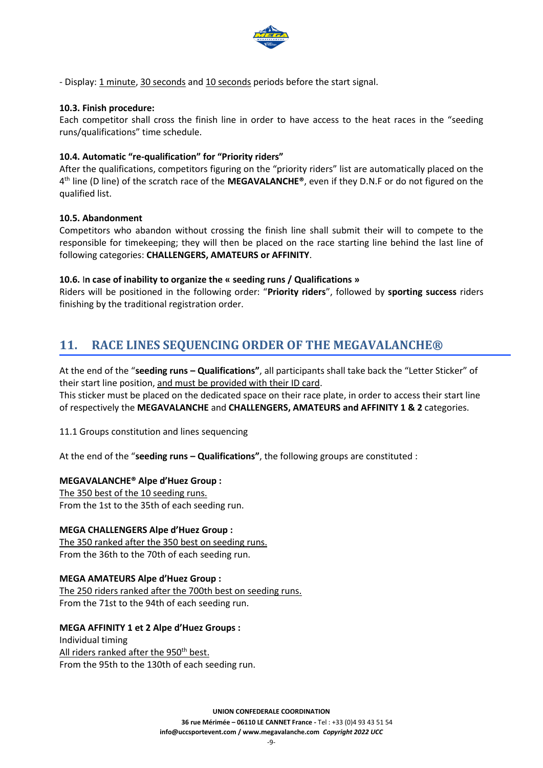

- Display: 1 minute, 30 seconds and 10 seconds periods before the start signal.

#### **10.3. Finish procedure:**

Each competitor shall cross the finish line in order to have access to the heat races in the "seeding runs/qualifications" time schedule.

#### **10.4. Automatic "re-qualification" for "Priority riders"**

After the qualifications, competitors figuring on the "priority riders" list are automatically placed on the 4 th line (D line) of the scratch race of the **MEGAVALANCHE®**, even if they D.N.F or do not figured on the qualified list.

#### **10.5. Abandonment**

Competitors who abandon without crossing the finish line shall submit their will to compete to the responsible for timekeeping; they will then be placed on the race starting line behind the last line of following categories: **CHALLENGERS, AMATEURS or AFFINITY**.

#### **10.6.** I**n case of inability to organize the « seeding runs / Qualifications »**

Riders will be positioned in the following order: "**Priority riders**", followed by **sporting success** riders finishing by the traditional registration order.

# <span id="page-8-0"></span>**11. RACE LINES SEQUENCING ORDER OF THE MEGAVALANCHE®**

At the end of the "**seeding runs – Qualifications"**, all participants shall take back the "Letter Sticker" of their start line position, and must be provided with their ID card.

This sticker must be placed on the dedicated space on their race plate, in order to access their start line of respectively the **MEGAVALANCHE** and **CHALLENGERS, AMATEURS and AFFINITY 1 & 2** categories.

11.1 Groups constitution and lines sequencing

At the end of the "**seeding runs – Qualifications"**, the following groups are constituted :

#### **MEGAVALANCHE® Alpe d'Huez Group :**

The 350 best of the 10 seeding runs. From the 1st to the 35th of each seeding run.

#### **MEGA CHALLENGERS Alpe d'Huez Group :**

The 350 ranked after the 350 best on seeding runs. From the 36th to the 70th of each seeding run.

#### **MEGA AMATEURS Alpe d'Huez Group :**

The 250 riders ranked after the 700th best on seeding runs. From the 71st to the 94th of each seeding run.

#### **MEGA AFFINITY 1 et 2 Alpe d'Huez Groups :**

Individual timing All riders ranked after the 950<sup>th</sup> best. From the 95th to the 130th of each seeding run.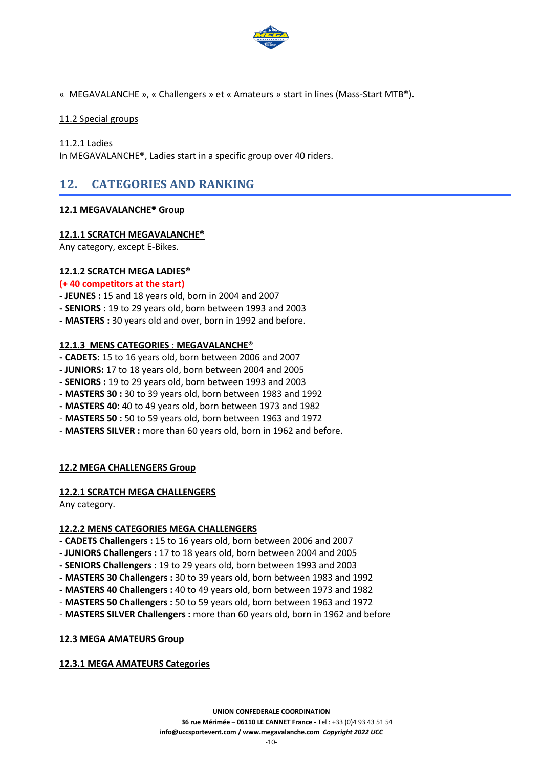

« MEGAVALANCHE », « Challengers » et « Amateurs » start in lines (Mass-Start MTB®).

#### 11.2 Special groups

11.2.1 Ladies

In MEGAVALANCHE®, Ladies start in a specific group over 40 riders.

# <span id="page-9-0"></span>**12. CATEGORIES AND RANKING**

#### **12.1 MEGAVALANCHE® Group**

#### **12.1.1 SCRATCH MEGAVALANCHE®**

Any category, except E-Bikes.

#### **12.1.2 SCRATCH MEGA LADIES®**

#### **(+ 40 competitors at the start)**

- **- JEUNES :** 15 and 18 years old, born in 2004 and 2007
- **- SENIORS :** 19 to 29 years old, born between 1993 and 2003
- **- MASTERS :** 30 years old and over, born in 1992 and before.

#### **12.1.3 MENS CATEGORIES** : **MEGAVALANCHE®**

- **- CADETS:** 15 to 16 years old, born between 2006 and 2007
- **- JUNIORS:** 17 to 18 years old, born between 2004 and 2005
- **- SENIORS :** 19 to 29 years old, born between 1993 and 2003
- **- MASTERS 30 :** 30 to 39 years old, born between 1983 and 1992
- **- MASTERS 40:** 40 to 49 years old, born between 1973 and 1982
- **MASTERS 50 :** 50 to 59 years old, born between 1963 and 1972
- **MASTERS SILVER :** more than 60 years old, born in 1962 and before.

#### **12.2 MEGA CHALLENGERS Group**

#### **12.2.1 SCRATCH MEGA CHALLENGERS**

Any category.

#### **12.2.2 MENS CATEGORIES MEGA CHALLENGERS**

- **- CADETS Challengers :** 15 to 16 years old, born between 2006 and 2007
- **- JUNIORS Challengers :** 17 to 18 years old, born between 2004 and 2005
- **- SENIORS Challengers :** 19 to 29 years old, born between 1993 and 2003
- **- MASTERS 30 Challengers :** 30 to 39 years old, born between 1983 and 1992
- **- MASTERS 40 Challengers :** 40 to 49 years old, born between 1973 and 1982
- **MASTERS 50 Challengers :** 50 to 59 years old, born between 1963 and 1972
- **MASTERS SILVER Challengers :** more than 60 years old, born in 1962 and before

### **12.3 MEGA AMATEURS Group**

### **12.3.1 MEGA AMATEURS Categories**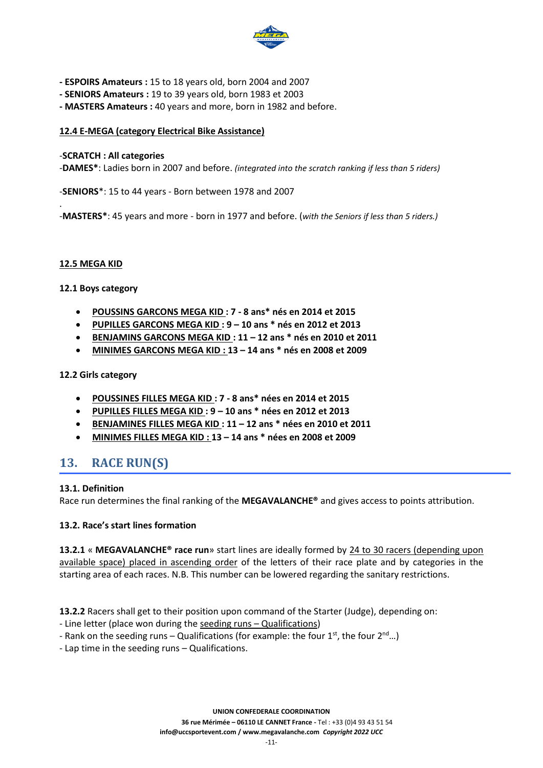

- **- ESPOIRS Amateurs :** 15 to 18 years old, born 2004 and 2007
- **- SENIORS Amateurs :** 19 to 39 years old, born 1983 et 2003
- **- MASTERS Amateurs :** 40 years and more, born in 1982 and before.

#### **12.4 E-MEGA (category Electrical Bike Assistance)**

#### -**SCRATCH : All categories**

-**DAMES\***: Ladies born in 2007 and before. *(integrated into the scratch ranking if less than 5 riders)*

-**SENIORS**\*: 15 to 44 years - Born between 1978 and 2007

-**MASTERS\***: 45 years and more - born in 1977 and before. (*with the Seniors if less than 5 riders.)*

#### **12.5 MEGA KID**

.

#### **12.1 Boys category**

- **POUSSINS GARCONS MEGA KID : 7 - 8 ans\* nés en 2014 et 2015**
- **PUPILLES GARCONS MEGA KID : 9 – 10 ans \* nés en 2012 et 2013**
- **BENJAMINS GARCONS MEGA KID : 11 – 12 ans \* nés en 2010 et 2011**
- **MINIMES GARCONS MEGA KID : 13 – 14 ans \* nés en 2008 et 2009**

#### **12.2 Girls category**

- **POUSSINES FILLES MEGA KID : 7 - 8 ans\* nées en 2014 et 2015**
- **PUPILLES FILLES MEGA KID : 9 – 10 ans \* nées en 2012 et 2013**
- **BENJAMINES FILLES MEGA KID : 11 – 12 ans \* nées en 2010 et 2011**
- **MINIMES FILLES MEGA KID : 13 – 14 ans \* nées en 2008 et 2009**

# <span id="page-10-0"></span>**13. RACE RUN(S)**

#### **13.1. Definition**

Race run determines the final ranking of the **MEGAVALANCHE®** and gives access to points attribution.

#### **13.2. Race's start lines formation**

**13.2.1** « **MEGAVALANCHE® race run**» start lines are ideally formed by 24 to 30 racers (depending upon available space) placed in ascending order of the letters of their race plate and by categories in the starting area of each races. N.B. This number can be lowered regarding the sanitary restrictions.

**13.2.2** Racers shall get to their position upon command of the Starter (Judge), depending on:

- Line letter (place won during the seeding runs Qualifications)
- Rank on the seeding runs Qualifications (for example: the four  $1^{st}$ , the four  $2^{nd}$ ...)
- Lap time in the seeding runs Qualifications.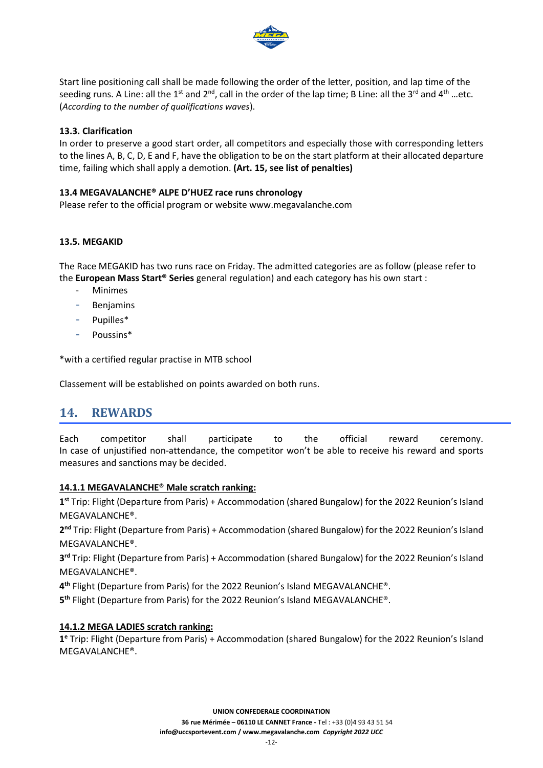

Start line positioning call shall be made following the order of the letter, position, and lap time of the seeding runs. A Line: all the 1<sup>st</sup> and 2<sup>nd</sup>, call in the order of the lap time; B Line: all the 3<sup>rd</sup> and 4<sup>th</sup> ...etc. (*According to the number of qualifications waves*).

#### **13.3. Clarification**

In order to preserve a good start order, all competitors and especially those with corresponding letters to the lines A, B, C, D, E and F, have the obligation to be on the start platform at their allocated departure time, failing which shall apply a demotion. **(Art. 15, see list of penalties)**

#### **13.4 MEGAVALANCHE® ALPE D'HUEZ race runs chronology**

Please refer to the official program or website www.megavalanche.com

#### **13.5. MEGAKID**

The Race MEGAKID has two runs race on Friday. The admitted categories are as follow (please refer to the **European Mass Start® Series** general regulation) and each category has his own start :

- **Minimes**
- **Benjamins**
- Pupilles\*
- Poussins\*

\*with a certified regular practise in MTB school

Classement will be established on points awarded on both runs.

### <span id="page-11-0"></span>**14. REWARDS**

Each competitor shall participate to the official reward ceremony. In case of unjustified non-attendance, the competitor won't be able to receive his reward and sports measures and sanctions may be decided.

#### **14.1.1 MEGAVALANCHE® Male scratch ranking:**

**1 st** Trip: Flight (Departure from Paris) + Accommodation (shared Bungalow) for the 2022 Reunion's Island MEGAVALANCHE®.

2<sup>nd</sup> Trip: Flight (Departure from Paris) + Accommodation (shared Bungalow) for the 2022 Reunion's Island MEGAVALANCHE®.

**3 rd** Trip: Flight (Departure from Paris) + Accommodation (shared Bungalow) for the 2022 Reunion's Island MEGAVALANCHE®.

**4 th** Flight (Departure from Paris) for the 2022 Reunion's Island MEGAVALANCHE®.

**5 th** Flight (Departure from Paris) for the 2022 Reunion's Island MEGAVALANCHE®.

#### **14.1.2 MEGA LADIES scratch ranking:**

**1 <sup>e</sup>** Trip: Flight (Departure from Paris) + Accommodation (shared Bungalow) for the 2022 Reunion's Island MEGAVALANCHE®.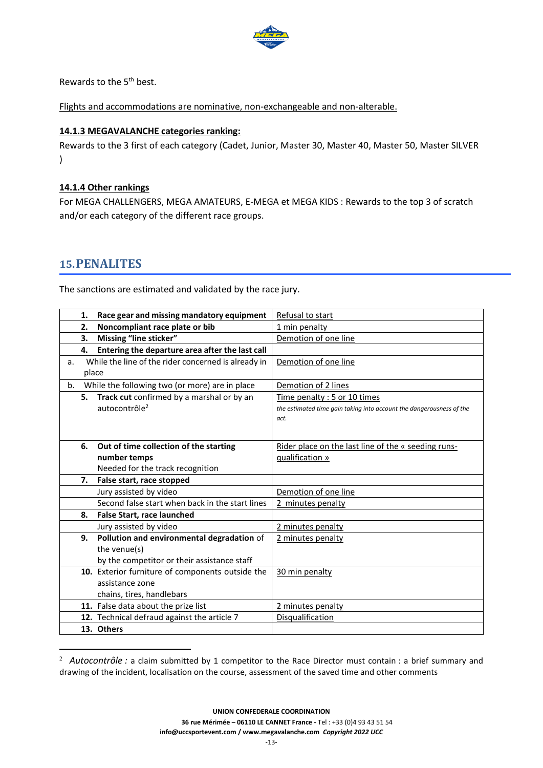

Rewards to the 5<sup>th</sup> best.

Flights and accommodations are nominative, non-exchangeable and non-alterable.

#### **14.1.3 MEGAVALANCHE categories ranking:**

Rewards to the 3 first of each category (Cadet, Junior, Master 30, Master 40, Master 50, Master SILVER  $\lambda$ 

#### **14.1.4 Other rankings**

For MEGA CHALLENGERS, MEGA AMATEURS, E-MEGA et MEGA KIDS : Rewards to the top 3 of scratch and/or each category of the different race groups.

### <span id="page-12-0"></span>**15.PENALITES**

The sanctions are estimated and validated by the race jury.

|       | 1. | Race gear and missing mandatory equipment           | Refusal to start                                                     |
|-------|----|-----------------------------------------------------|----------------------------------------------------------------------|
|       | 2. | Noncompliant race plate or bib                      | 1 min penalty                                                        |
|       | 3. | Missing "line sticker"                              | Demotion of one line                                                 |
|       | 4. | Entering the departure area after the last call     |                                                                      |
| a.    |    | While the line of the rider concerned is already in | Demotion of one line                                                 |
| place |    |                                                     |                                                                      |
| b.    |    | While the following two (or more) are in place      | Demotion of 2 lines                                                  |
|       |    | 5. Track cut confirmed by a marshal or by an        | Time penalty: 5 or 10 times                                          |
|       |    | autocontrôle <sup>2</sup>                           | the estimated time gain taking into account the dangerousness of the |
|       |    |                                                     | act.                                                                 |
|       |    |                                                     |                                                                      |
|       | 6. | Out of time collection of the starting              | Rider place on the last line of the « seeding runs-                  |
|       |    | number temps                                        | qualification »                                                      |
|       |    | Needed for the track recognition                    |                                                                      |
|       | 7. | False start, race stopped                           |                                                                      |
|       |    | Jury assisted by video                              | Demotion of one line                                                 |
|       |    | Second false start when back in the start lines     | 2 minutes penalty                                                    |
|       | 8. | <b>False Start, race launched</b>                   |                                                                      |
|       |    | Jury assisted by video                              | 2 minutes penalty                                                    |
|       | 9. | Pollution and environmental degradation of          | 2 minutes penalty                                                    |
|       |    | the venue(s)                                        |                                                                      |
|       |    | by the competitor or their assistance staff         |                                                                      |
|       |    | 10. Exterior furniture of components outside the    | 30 min penalty                                                       |
|       |    | assistance zone                                     |                                                                      |
|       |    | chains, tires, handlebars                           |                                                                      |
|       |    | 11. False data about the prize list                 | 2 minutes penalty                                                    |
|       |    | 12. Technical defraud against the article 7         | Disqualification                                                     |
|       |    | 13. Others                                          |                                                                      |

<sup>&</sup>lt;sup>2</sup> *Autocontrôle :* a claim submitted by 1 competitor to the Race Director must contain : a brief summary and drawing of the incident, localisation on the course, assessment of the saved time and other comments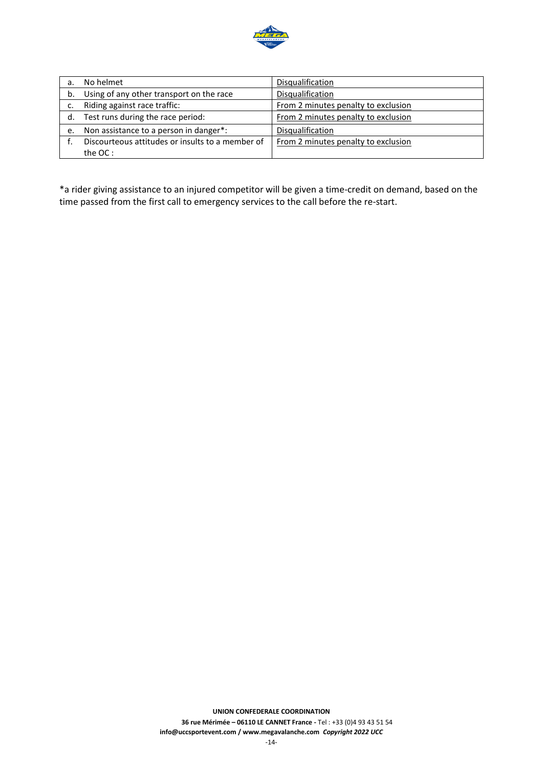

| a. | No helmet                                        | <b>Disqualification</b>             |
|----|--------------------------------------------------|-------------------------------------|
| b. | Using of any other transport on the race         | Disqualification                    |
|    | Riding against race traffic:                     | From 2 minutes penalty to exclusion |
| d. | Test runs during the race period:                | From 2 minutes penalty to exclusion |
| e. | Non assistance to a person in danger*:           | Disqualification                    |
|    | Discourteous attitudes or insults to a member of | From 2 minutes penalty to exclusion |
|    | the OC:                                          |                                     |

\*a rider giving assistance to an injured competitor will be given a time-credit on demand, based on the time passed from the first call to emergency services to the call before the re-start.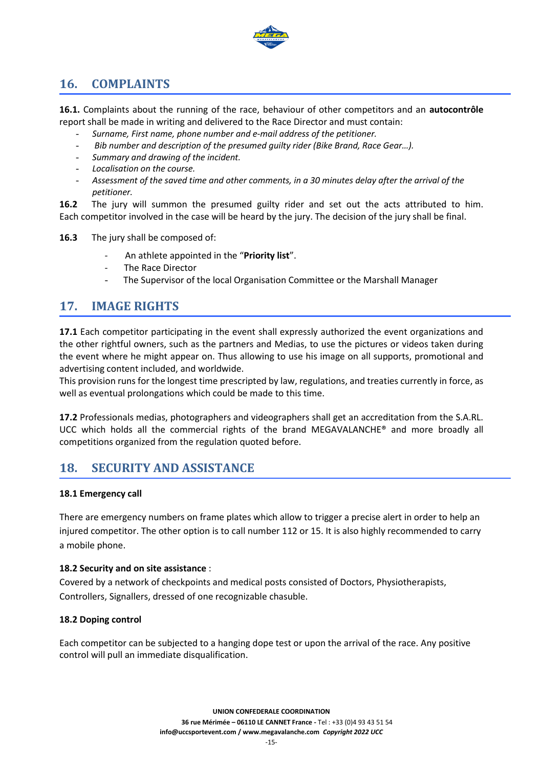

# <span id="page-14-0"></span>**16. COMPLAINTS**

**16.1.** Complaints about the running of the race, behaviour of other competitors and an **autocontrôle** report shall be made in writing and delivered to the Race Director and must contain:

- *Surname, First name, phone number and e-mail address of the petitioner.*
- *Bib number and description of the presumed guilty rider (Bike Brand, Race Gear…).*
- *Summary and drawing of the incident.*
- *Localisation on the course.*
- *Assessment of the saved time and other comments, in a 30 minutes delay after the arrival of the petitioner.*

**16.2** The jury will summon the presumed guilty rider and set out the acts attributed to him. Each competitor involved in the case will be heard by the jury. The decision of the jury shall be final.

**16.3** The jury shall be composed of:

- An athlete appointed in the "**Priority list**".
- The Race Director
- The Supervisor of the local Organisation Committee or the Marshall Manager

# <span id="page-14-1"></span>**17. IMAGE RIGHTS**

**17.1** Each competitor participating in the event shall expressly authorized the event organizations and the other rightful owners, such as the partners and Medias, to use the pictures or videos taken during the event where he might appear on. Thus allowing to use his image on all supports, promotional and advertising content included, and worldwide.

This provision runs for the longest time prescripted by law, regulations, and treaties currently in force, as well as eventual prolongations which could be made to this time.

**17.2** Professionals medias, photographers and videographers shall get an accreditation from the S.A.RL. UCC which holds all the commercial rights of the brand MEGAVALANCHE® and more broadly all competitions organized from the regulation quoted before.

# <span id="page-14-2"></span>**18. SECURITY AND ASSISTANCE**

#### **18.1 Emergency call**

There are emergency numbers on frame plates which allow to trigger a precise alert in order to help an injured competitor. The other option is to call number 112 or 15. It is also highly recommended to carry a mobile phone.

#### **18.2 Security and on site assistance** :

Covered by a network of checkpoints and medical posts consisted of Doctors, Physiotherapists, Controllers, Signallers, dressed of one recognizable chasuble.

#### **18.2 Doping control**

Each competitor can be subjected to a hanging dope test or upon the arrival of the race. Any positive control will pull an immediate disqualification.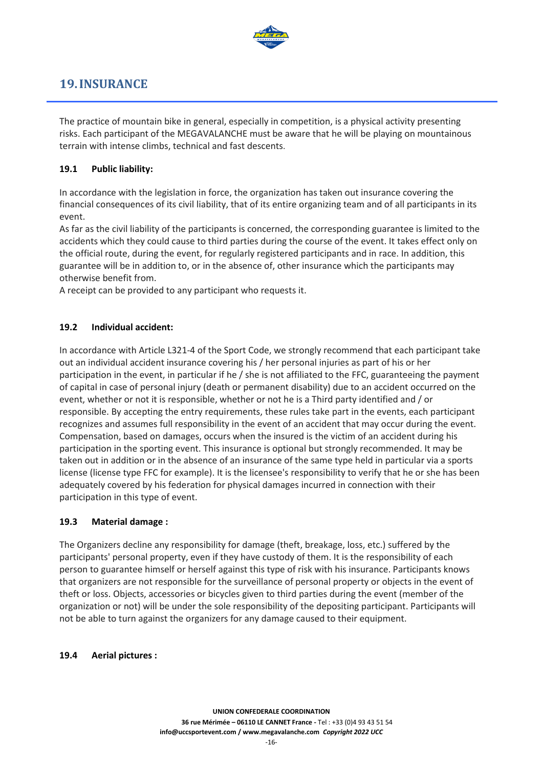

# <span id="page-15-0"></span>**19.INSURANCE**

The practice of mountain bike in general, especially in competition, is a physical activity presenting risks. Each participant of the MEGAVALANCHE must be aware that he will be playing on mountainous terrain with intense climbs, technical and fast descents.

#### **19.1 Public liability:**

In accordance with the legislation in force, the organization has taken out insurance covering the financial consequences of its civil liability, that of its entire organizing team and of all participants in its event.

As far as the civil liability of the participants is concerned, the corresponding guarantee is limited to the accidents which they could cause to third parties during the course of the event. It takes effect only on the official route, during the event, for regularly registered participants and in race. In addition, this guarantee will be in addition to, or in the absence of, other insurance which the participants may otherwise benefit from.

A receipt can be provided to any participant who requests it.

#### **19.2 Individual accident:**

In accordance with Article L321-4 of the Sport Code, we strongly recommend that each participant take out an individual accident insurance covering his / her personal injuries as part of his or her participation in the event, in particular if he / she is not affiliated to the FFC, guaranteeing the payment of capital in case of personal injury (death or permanent disability) due to an accident occurred on the event, whether or not it is responsible, whether or not he is a Third party identified and / or responsible. By accepting the entry requirements, these rules take part in the events, each participant recognizes and assumes full responsibility in the event of an accident that may occur during the event. Compensation, based on damages, occurs when the insured is the victim of an accident during his participation in the sporting event. This insurance is optional but strongly recommended. It may be taken out in addition or in the absence of an insurance of the same type held in particular via a sports license (license type FFC for example). It is the licensee's responsibility to verify that he or she has been adequately covered by his federation for physical damages incurred in connection with their participation in this type of event.

#### **19.3 Material damage :**

The Organizers decline any responsibility for damage (theft, breakage, loss, etc.) suffered by the participants' personal property, even if they have custody of them. It is the responsibility of each person to guarantee himself or herself against this type of risk with his insurance. Participants knows that organizers are not responsible for the surveillance of personal property or objects in the event of theft or loss. Objects, accessories or bicycles given to third parties during the event (member of the organization or not) will be under the sole responsibility of the depositing participant. Participants will not be able to turn against the organizers for any damage caused to their equipment.

#### **19.4 Aerial pictures :**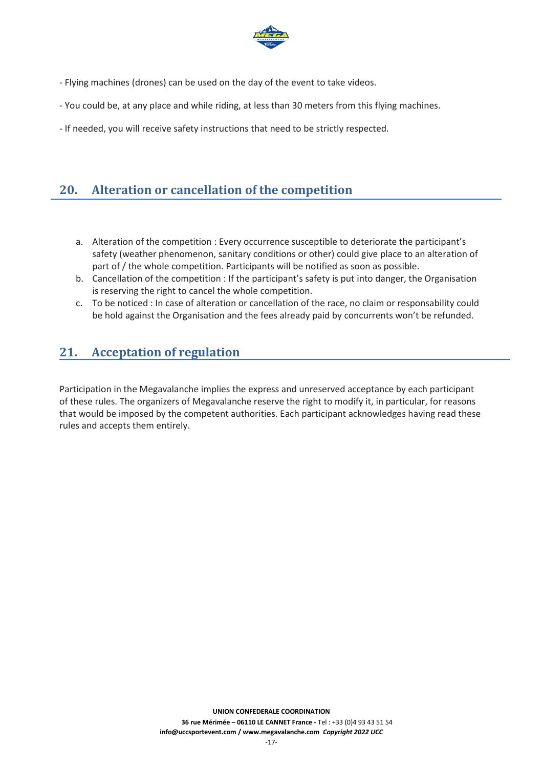

- Flying machines (drones) can be used on the day of the event to take videos.
- You could be, at any place and while riding, at less than 30 meters from this flying machines.
- If needed, you will receive safety instructions that need to be strictly respected.

# <span id="page-16-0"></span>**20. Alteration or cancellation of the competition**

- a. Alteration of the competition : Every occurrence susceptible to deteriorate the participant's safety (weather phenomenon, sanitary conditions or other) could give place to an alteration of part of / the whole competition. Participants will be notified as soon as possible.
- b. Cancellation of the competition : If the participant's safety is put into danger, the Organisation is reserving the right to cancel the whole competition.
- c. To be noticed : In case of alteration or cancellation of the race, no claim or responsability could be hold against the Organisation and the fees already paid by concurrents won't be refunded.

# <span id="page-16-1"></span>**21. Acceptation of regulation**

Participation in the Megavalanche implies the express and unreserved acceptance by each participant of these rules. The organizers of Megavalanche reserve the right to modify it, in particular, for reasons that would be imposed by the competent authorities. Each participant acknowledges having read these rules and accepts them entirely.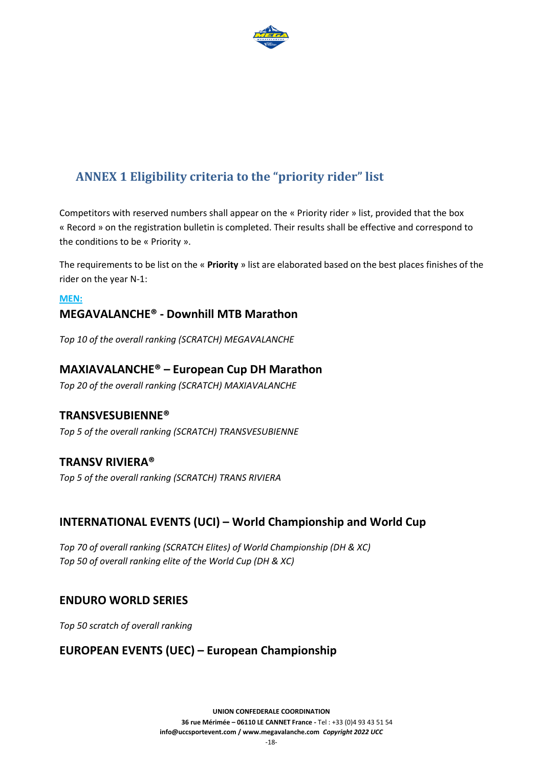

# <span id="page-17-0"></span>**ANNEX 1 Eligibility criteria to the "priority rider" list**

Competitors with reserved numbers shall appear on the « Priority rider » list, provided that the box « Record » on the registration bulletin is completed. Their results shall be effective and correspond to the conditions to be « Priority ».

The requirements to be list on the « **Priority** » list are elaborated based on the best places finishes of the rider on the year N-1:

### **MEN: MEGAVALANCHE® - Downhill MTB Marathon**

*Top 10 of the overall ranking (SCRATCH) MEGAVALANCHE*

### **MAXIAVALANCHE® – European Cup DH Marathon**

*Top 20 of the overall ranking (SCRATCH) MAXIAVALANCHE*

### **TRANSVESUBIENNE®**

*Top 5 of the overall ranking (SCRATCH) TRANSVESUBIENNE* 

### **TRANSV RIVIERA®**

*Top 5 of the overall ranking (SCRATCH) TRANS RIVIERA*

### **INTERNATIONAL EVENTS (UCI) – World Championship and World Cup**

*Top 70 of overall ranking (SCRATCH Elites) of World Championship (DH & XC) Top 50 of overall ranking elite of the World Cup (DH & XC)* 

### **ENDURO WORLD SERIES**

*Top 50 scratch of overall ranking*

### **EUROPEAN EVENTS (UEC) – European Championship**